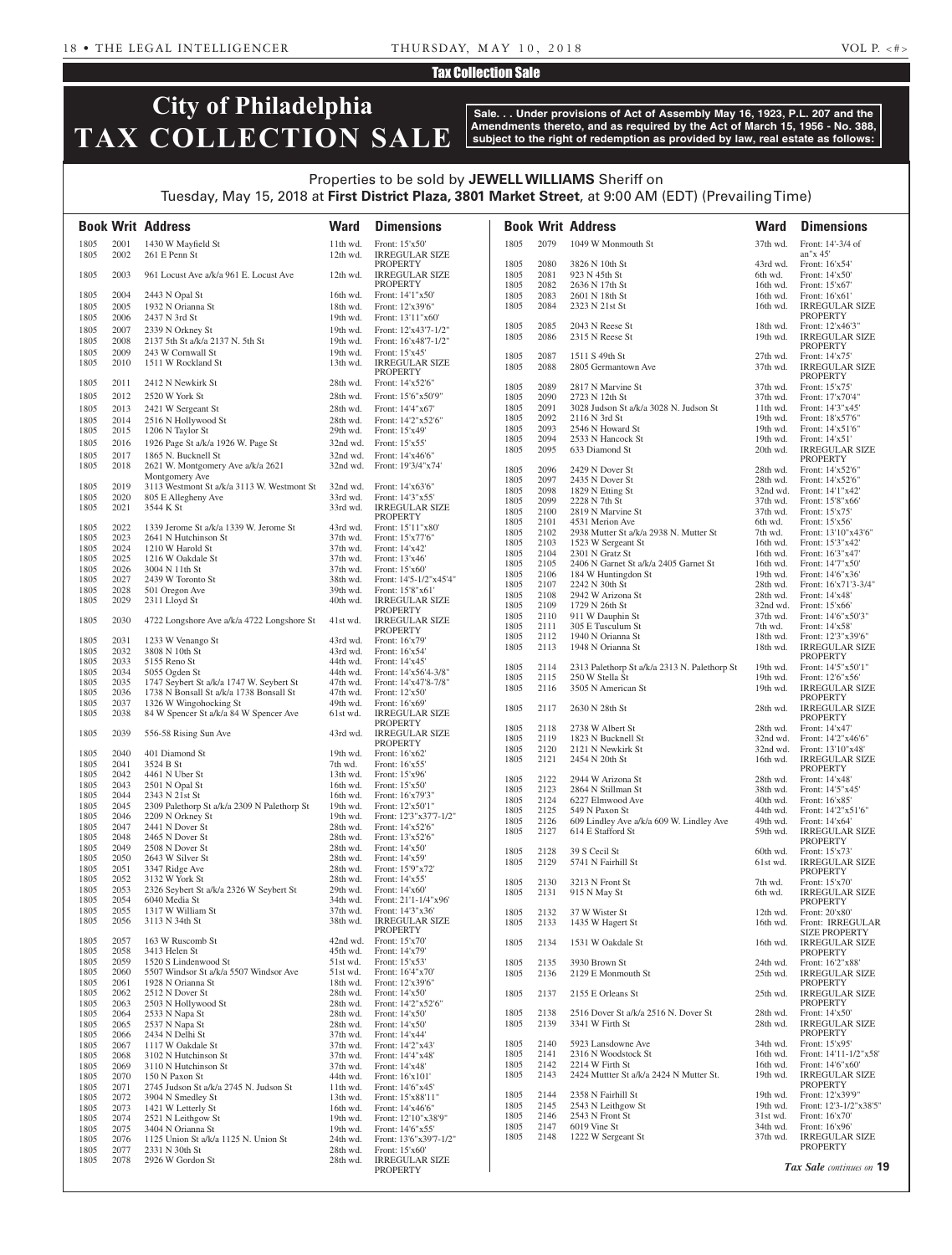#### Tax Collection Sale

# **City of Philadelphia TAX COLLECTION SALE**

**Sale. . . Under provisions of Act of Assembly May 16, 1923, P.L. 207 and the Amendments thereto, and as required by the Act of March 15, 1956 - No. 388, subject to the right of redemption as provided by law, real estate as follows:**

### Properties to be sold by **JEWELL WILLIAMS** Sheriff on Tuesday, May 15, 2018 at **First District Plaza, 3801 Market Street**, at 9:00 AM (EDT) (Prevailing Time)

|              |              | <b>Book Writ Address</b>                                          | <b>Ward</b>              | <b>Dimensions</b>                         |              |              | <b>Book Writ Address</b>                                      | <b>Ward</b>          | <b>Dimensions</b>                           |
|--------------|--------------|-------------------------------------------------------------------|--------------------------|-------------------------------------------|--------------|--------------|---------------------------------------------------------------|----------------------|---------------------------------------------|
| 1805<br>1805 | 2001<br>2002 | 1430 W Mayfield St<br>261 E Penn St                               | $11th$ wd.<br>$12th$ wd. | Front: 15'x50'<br><b>IRREGULAR SIZE</b>   | 1805         | 2079         | 1049 W Monmouth St                                            | 37th wd.             | Front: 14'-3/4 of<br>an" $x$ 45'            |
|              |              | 961 Locust Ave a/k/a 961 E. Locust Ave                            |                          | <b>PROPERTY</b>                           | 1805<br>1805 | 2080<br>2081 | 3826 N 10th St                                                | 43rd wd.             | Front: 16'x54'                              |
| 1805         | 2003         |                                                                   | 12th wd.                 | <b>IRREGULAR SIZE</b><br>PROPERTY         | 1805         | 2082         | 923 N 45th St<br>2636 N 17th St                               | 6th wd.<br>16th wd.  | Front: 14'x50'<br>Front: 15'x67'            |
| 1805         | 2004         | 2443 N Opal St                                                    | 16th wd.                 | Front: 14'1"x50"                          | 1805         | 2083         | 2601 N 18th St                                                | 16th wd.             | Front: 16'x61'                              |
| 1805<br>1805 | 2005<br>2006 | 1932 N Orianna St<br>2437 N 3rd St                                | 18th wd.<br>19th wd.     | Front: 12'x39'6"<br>Front: 13'11"x60"     | 1805         | 2084         | 2323 N 21st St                                                | 16th wd.             | <b>IRREGULAR SIZE</b><br>PROPERTY           |
| 1805         | 2007         | 2339 N Orkney St                                                  | 19th wd.                 | Front: 12'x43'7-1/2"                      | 1805         | 2085         | 2043 N Reese St                                               | 18th wd.             | Front: 12'x46'3"                            |
| 1805         | 2008         | 2137 5th St a/k/a 2137 N. 5th St                                  | 19th wd.                 | Front: 16'x48'7-1/2"                      | 1805         | 2086         | 2315 N Reese St                                               | 19th wd.             | <b>IRREGULAR SIZE</b><br><b>PROPERTY</b>    |
| 1805         | 2009         | 243 W Cornwall St                                                 | 19th wd.                 | Front: 15'x45'                            | 1805         | 2087         | 1511 S 49th St                                                | 27th wd.             | Front: 14'x75'                              |
| 1805         | 2010         | 1511 W Rockland St                                                | 13th wd.                 | <b>IRREGULAR SIZE</b><br><b>PROPERTY</b>  | 1805         | 2088         | 2805 Germantown Ave                                           | 37th wd.             | <b>IRREGULAR SIZE</b>                       |
| 1805         | 2011         | 2412 N Newkirk St                                                 | 28th wd.                 | Front: 14'x52'6"                          | 1805         | 2089         | 2817 N Marvine St                                             | 37th wd.             | <b>PROPERTY</b><br>Front: 15'x75'           |
| 1805         | 2012         | 2520 W York St                                                    | 28th wd.                 | Front: 15'6"x50'9"                        | 1805         | 2090         | 2723 N 12th St                                                | 37th wd.             | Front: 17'x70'4"                            |
| 1805         | 2013         | 2421 W Sergeant St                                                | 28th wd.                 | Front: 14'4"x67'                          | 1805<br>1805 | 2091<br>2092 | 3028 Judson St a/k/a 3028 N. Judson St<br>2116 N 3rd St       | 11th wd.<br>19th wd. | Front: 14'3"x45'<br>Front: 18'x57'6"        |
| 1805<br>1805 | 2014<br>2015 | 2516 N Hollywood St<br>1206 N Taylor St                           | 28th wd.<br>29th wd.     | Front: 14'2"x52'6"<br>Front: 15'x49'      | 1805         | 2093         | 2546 N Howard St                                              | 19th wd.             | Front: 14'x51'6"                            |
| 1805         | 2016         | 1926 Page St a/k/a 1926 W. Page St                                | 32nd wd.                 | Front: 15'x55'                            | 1805         | 2094         | 2533 N Hancock St                                             | 19th wd.             | Front: 14'x51'                              |
| 1805         | 2017         | 1865 N. Bucknell St                                               | 32nd wd.                 | Front: 14'x46'6"                          | 1805         | 2095         | 633 Diamond St                                                | 20th wd.             | <b>IRREGULAR SIZE</b><br><b>PROPERTY</b>    |
| 1805         | 2018         | 2621 W. Montgomery Ave a/k/a 2621                                 | 32nd wd.                 | Front: 19'3/4"x74"                        | 1805         | 2096         | 2429 N Dover St                                               | 28th wd.             | Front: 14'x52'6"                            |
| 1805         | 2019         | Montgomery Ave<br>3113 Westmont St a/k/a 3113 W. Westmont St      | 32nd wd.                 | Front: 14'x63'6"                          | 1805<br>1805 | 2097<br>2098 | 2435 N Dover St<br>1829 N Etting St                           | 28th wd.<br>32nd wd. | Front: 14'x52'6"<br>Front: 14'1"x42"        |
| 1805         | 2020         | 805 E Allegheny Ave                                               | 33rd wd.                 | Front: 14'3"x55"                          | 1805         | 2099         | 2228 N 7th St                                                 | 37th wd.             | Front: 15'8"x66'                            |
| 1805         | 2021         | 3544 K St                                                         | 33rd wd.                 | <b>IRREGULAR SIZE</b><br><b>PROPERTY</b>  | 1805         | 2100         | 2819 N Marvine St                                             | 37th wd.             | Front: 15'x75'                              |
| 1805         | 2022         | 1339 Jerome St a/k/a 1339 W. Jerome St                            | 43rd wd.                 | Front: 15'11"x80"                         | 1805<br>1805 | 2101<br>2102 | 4531 Merion Ave<br>2938 Mutter St a/k/a 2938 N. Mutter St     | 6th wd.<br>7th wd.   | Front: 15'x56'<br>Front: 13'10"x43'6"       |
| 1805         | 2023         | 2641 N Hutchinson St                                              | 37th wd.                 | Front: 15'x77'6"                          | 1805         | 2103         | 1523 W Sergeant St                                            | 16th wd.             | Front: 15'3"x42"                            |
| 1805<br>1805 | 2024<br>2025 | 1210 W Harold St<br>1216 W Oakdale St                             | 37th wd.<br>37th wd.     | Front: 14'x42'<br>Front: 13'x46'          | 1805         | 2104         | 2301 N Gratz St                                               | 16th wd.             | Front: 16'3"x47'                            |
| 1805         | 2026         | 3004 N 11th St                                                    | 37th wd.                 | Front: 15'x60'                            | 1805<br>1805 | 2105<br>2106 | 2406 N Garnet St a/k/a 2405 Garnet St<br>184 W Huntingdon St  | 16th wd.<br>19th wd. | Front: 14'7"x50'<br>Front: 14'6"x36'        |
| 1805<br>1805 | 2027<br>2028 | 2439 W Toronto St<br>501 Oregon Ave                               | 38th wd.<br>39th wd.     | Front: 14'5-1/2"x45'4"<br>Front: 15'8"x61 | 1805         | 2107         | 2242 N 30th St                                                | 28th wd.             | Front: 16'x71'3-3/4"                        |
| 1805         | 2029         | 2311 Lloyd St                                                     | $40th$ wd.               | <b>IRREGULAR SIZE</b>                     | 1805         | 2108         | 2942 W Arizona St                                             | 28th wd.             | Front: 14'x48'                              |
|              |              |                                                                   |                          | PROPERTY                                  | 1805<br>1805 | 2109<br>2110 | 1729 N 26th St<br>911 W Dauphin St                            | 32nd wd.<br>37th wd. | Front: 15'x66'<br>Front: 14'6"x50'3"        |
| 1805         | 2030         | 4722 Longshore Ave a/k/a 4722 Longshore St                        | 41st wd.                 | <b>IRREGULAR SIZE</b><br><b>PROPERTY</b>  | 1805         | 2111         | 305 E Tusculum St                                             | 7th wd.              | Front: 14'x58'                              |
| 1805         | 2031         | 1233 W Venango St                                                 | 43rd wd.                 | Front: 16'x79'                            | 1805<br>1805 | 2112<br>2113 | 1940 N Orianna St<br>1948 N Orianna St                        | 18th wd.<br>18th wd. | Front: 12'3"x39'6"<br><b>IRREGULAR SIZE</b> |
| 1805<br>1805 | 2032<br>2033 | 3808 N 10th St<br>5155 Reno St                                    | 43rd wd.<br>44th wd.     | Front: 16'x54'<br>Front: 14'x45'          |              |              |                                                               |                      | <b>PROPERTY</b>                             |
| 1805         | 2034         | 5055 Ogden St                                                     | 44th wd.                 | Front: 14'x56'4-3/8"                      | 1805         | 2114         | 2313 Palethorp St a/k/a 2313 N. Palethorp St                  | 19th wd.             | Front: 14'5"x50'1"                          |
| 1805         | 2035         | 1747 Seybert St a/k/a 1747 W. Seybert St                          | 47th wd.                 | Front: 14'x47'8-7/8"                      | 1805<br>1805 | 2115<br>2116 | 250 W Stella St<br>3505 N American St                         | 19th wd.<br>19th wd. | Front: 12'6"x56'<br><b>IRREGULAR SIZE</b>   |
| 1805<br>1805 | 2036<br>2037 | 1738 N Bonsall St a/k/a 1738 Bonsall St<br>1326 W Wingohocking St | $47th$ wd.<br>49th wd.   | Front: 12'x50'<br>Front: 16'x69'          |              |              |                                                               |                      | PROPERTY                                    |
| 1805         | 2038         | 84 W Spencer St a/k/a 84 W Spencer Ave                            | 61st wd.                 | <b>IRREGULAR SIZE</b>                     | 1805         | 2117         | 2630 N 28th St                                                | 28th wd.             | <b>IRREGULAR SIZE</b><br><b>PROPERTY</b>    |
| 1805         | 2039         | 556-58 Rising Sun Ave                                             |                          | PROPERTY<br><b>IRREGULAR SIZE</b>         | 1805         | 2118         | 2738 W Albert St                                              |                      | 28th wd. Front: 14'x47'                     |
|              |              |                                                                   | 43rd wd.                 | <b>PROPERTY</b>                           | 1805         | 2119         | 1823 N Bucknell St                                            |                      | 32nd wd. Front: 14'2"x46'6'                 |
| 1805         | 2040         | 401 Diamond St                                                    | 19th wd.                 | Front: 16'x62'                            | 1805<br>1805 | 2120<br>2121 | 2121 N Newkirk St<br>2454 N 20th St                           | 32nd wd.<br>16th wd. | Front: 13'10"x48"<br><b>IRREGULAR SIZE</b>  |
| 1805<br>1805 | 2041<br>2042 | 3524 B St<br>4461 N Uber St                                       | 7th wd.<br>13th wd.      | Front: 16'x55'<br>Front: 15'x96'          |              |              |                                                               |                      | PROPERTY                                    |
| 1805         | 2043         | 2501 N Opal St                                                    | 16th wd.                 | Front: 15'x50'                            | 1805<br>1805 | 2122<br>2123 | 2944 W Arizona St<br>2864 N Stillman St                       | 28th wd.<br>38th wd. | Front: 14'x48'<br>Front: 14'5"x45"          |
| 1805<br>1805 | 2044<br>2045 | 2343 N 21st St<br>2309 Palethorp St a/k/a 2309 N Palethorp St     | 16th wd.                 | Front: 16'x79'3"<br>Front: 12'x50'1"      | 1805         | 2124         | 6227 Elmwood Ave                                              | 40th wd.             | Front: 16'x85'                              |
| 1805         | 2046         | 2209 N Orkney St                                                  | 19th wd.<br>19th wd.     | Front: 12'3"x37'7-1/2"                    | 1805         | 2125         | 549 N Paxon St                                                | 44th wd.             | Front: 14'2"x51'6"                          |
| 1805         | 2047         | 2441 N Dover St                                                   | 28th wd.                 | Front: 14'x52'6"                          | 1805<br>1805 | 2126<br>2127 | 609 Lindley Ave a/k/a 609 W. Lindley Ave<br>614 E Stafford St | 49th wd.<br>59th wd. | Front: 14'x64'<br><b>IRREGULAR SIZE</b>     |
| 1805<br>1805 | 2048<br>2049 | 2465 N Dover St<br>2508 N Dover St                                | 28th wd.<br>28th wd.     | Front: 13'x52'6"<br>Front: 14'x50'        |              |              |                                                               |                      | <b>PROPERTY</b>                             |
| 1805         | 2050         | 2643 W Silver St                                                  | 28th wd.                 | Front: 14'x59'                            | 1805<br>1805 | 2128<br>2129 | 39 S Cecil St<br>5741 N Fairhill St                           | 60th wd.<br>61st wd. | Front: 15'x73'<br><b>IRREGULAR SIZE</b>     |
| 1805         | 2051         | 3347 Ridge Ave                                                    | 28th wd.                 | Front: 15'9"x72'                          |              |              |                                                               |                      | <b>PROPERTY</b>                             |
| 1805<br>1805 | 2052<br>2053 | 3132 W York St<br>2326 Seybert St a/k/a 2326 W Seybert St         | 28th wd.<br>29th wd.     | Front: 14'x55'<br>Front: 14'x60'          | 1805<br>1805 | 2130<br>2131 | 3213 N Front St<br>915 N May St                               | 7th wd.<br>6th wd.   | Front: 15'x70'<br><b>IRREGULAR SIZE</b>     |
| 1805         | 2054         | 6040 Media St                                                     | 34th wd.                 | Front: 21'1-1/4"x96'                      |              |              |                                                               |                      | PROPERTY                                    |
| 1805<br>1805 | 2055<br>2056 | 1317 W William St<br>3113 N 34th St                               | 37th wd.<br>38th wd.     | Front: 14'3"x36"<br><b>IRREGULAR SIZE</b> | 1805         | 2132         | 37 W Wister St                                                | 12th wd.             | Front: 20'x80'                              |
|              |              |                                                                   |                          | <b>PROPERTY</b>                           | 1805         | 2133         | 1435 W Hagert St                                              | 16th wd.             | Front: IRREGULAR<br><b>SIZE PROPERTY</b>    |
| 1805         | 2057         | 163 W Ruscomb St                                                  |                          | 42nd wd. Front: 15'x70'                   | 1805         | 2134         | 1531 W Oakdale St                                             | 16th wd.             | <b>IRREGULAR SIZE</b>                       |
| 1805<br>1805 | 2058<br>2059 | 3413 Helen St<br>1520 S Lindenwood St                             | 45th wd.<br>51st wd.     | Front: 14'x79'<br>Front: 15'x53'          | 1805         | 2135         | 3930 Brown St                                                 | 24th wd.             | <b>PROPERTY</b><br>Front: 16'2"x88"         |
| 1805         | 2060         | 5507 Windsor St a/k/a 5507 Windsor Ave                            | 51st wd.                 | Front: 16'4"x70'                          | 1805         | 2136         | 2129 E Monmouth St                                            | 25th wd.             | <b>IRREGULAR SIZE</b>                       |
| 1805<br>1805 | 2061<br>2062 | 1928 N Orianna St<br>2512 N Dover St                              | 18th wd.<br>28th wd.     | Front: 12'x39'6"<br>Front: 14'x50'        | 1805         | 2137         | 2155 E Orleans St                                             |                      | <b>PROPERTY</b><br><b>IRREGULAR SIZE</b>    |
| 1805         | 2063         | 2503 N Hollywood St                                               | 28th wd.                 | Front: 14'2"x52'6"                        |              |              |                                                               | 25th wd.             | <b>PROPERTY</b>                             |
| 1805         | 2064         | 2533 N Napa St                                                    | 28th wd.                 | Front: 14'x50'                            | 1805         | 2138         | 2516 Dover St a/k/a 2516 N. Dover St                          | 28th wd.             | Front: 14'x50'                              |
| 1805<br>1805 | 2065<br>2066 | 2537 N Napa St<br>2434 N Delhi St                                 | 28th wd.<br>37th wd.     | Front: 14'x50'<br>Front: 14'x44'          | 1805         | 2139         | 3341 W Firth St                                               | 28th wd.             | <b>IRREGULAR SIZE</b><br><b>PROPERTY</b>    |
| 1805         | 2067         | 1117 W Oakdale St                                                 | 37th wd.                 | Front: 14'2"x43'                          | 1805         | 2140         | 5923 Lansdowne Ave                                            | 34th wd.             | Front: 15'x95'                              |
| 1805         | 2068         | 3102 N Hutchinson St                                              | 37th wd.                 | Front: 14'4"x48'                          | 1805<br>1805 | 2141<br>2142 | 2316 N Woodstock St<br>2214 W Firth St                        | 16th wd.<br>16th wd. | Front: 14'11-1/2"x58'<br>Front: 14'6"x60"   |
| 1805<br>1805 | 2069<br>2070 | 3110 N Hutchinson St<br>150 N Paxon St                            | 37th wd.<br>44th wd.     | Front: 14'x48'<br>Front: 16'x101'         | 1805         | 2143         | 2424 Muttter St a/k/a 2424 N Mutter St.                       | 19th wd.             | <b>IRREGULAR SIZE</b>                       |
| 1805         | 2071         | 2745 Judson St a/k/a 2745 N. Judson St                            | $11th$ wd.               | Front: 14'6"x45"                          |              |              |                                                               |                      | PROPERTY                                    |
| 1805<br>1805 | 2072<br>2073 | 3904 N Smedley St<br>1421 W Letterly St                           | 13th wd.<br>16th wd.     | Front: 15'x88'11"<br>Front: 14'x46'6"     | 1805<br>1805 | 2144<br>2145 | 2358 N Fairhill St<br>2543 N Leithgow St                      | 19th wd.<br>19th wd. | Front: 12'x39'9"<br>Front: 12'3-1/2"x38'5"  |
| 1805         | 2074         | 2521 N Leithgow St                                                | 19th wd.                 | Front: 12'10"x38'9"                       | 1805         | 2146         | 2543 N Front St                                               | 31st wd.             | Front: 16'x70'                              |
| 1805         | 2075         | 3404 N Orianna St                                                 | 19th wd.                 | Front: 14'6"x55"                          | 1805<br>1805 | 2147<br>2148 | 6019 Vine St<br>1222 W Sergeant St                            | 34th wd.<br>37th wd. | Front: 16'x96'<br><b>IRREGULAR SIZE</b>     |
| 1805<br>1805 | 2076<br>2077 | 1125 Union St a/k/a 1125 N. Union St<br>2331 N 30th St            | 24th wd.<br>28th wd.     | Front: 13'6"x39'7-1/2"<br>Front: 15'x60'  |              |              |                                                               |                      | <b>PROPERTY</b>                             |
| 1805         | 2078         | 2926 W Gordon St                                                  | 28th wd.                 | <b>IRREGULAR SIZE</b>                     |              |              |                                                               |                      |                                             |
|              |              |                                                                   |                          | <b>PROPERTY</b>                           |              |              |                                                               |                      | Tax Sale continues on 19                    |